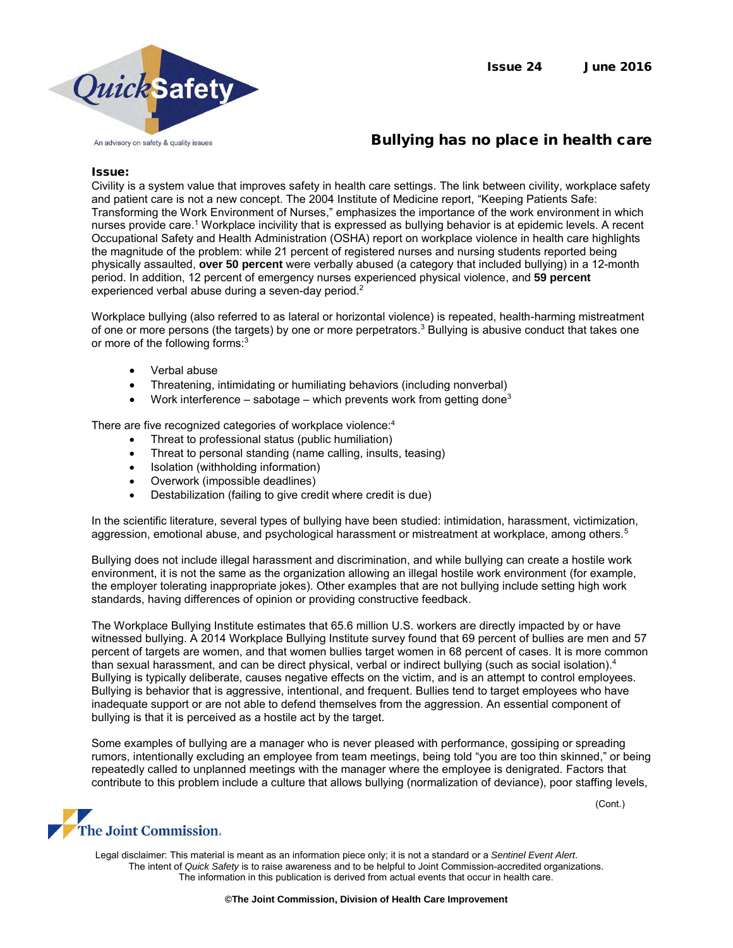

# Bullying has no place in health care

#### Issue:

Civility is a system value that improves safety in health care settings. The link between civility, workplace safety and patient care is not a new concept. The 2004 Institute of Medicine report, "Keeping Patients Safe: Transforming the Work Environment of Nurses," emphasizes the importance of the work environment in which nurses provide care.<sup>1</sup> Workplace incivility that is expressed as bullying behavior is at epidemic levels. A recent Occupational Safety and Health Administration (OSHA) report on workplace violence in health care highlights the magnitude of the problem: while 21 percent of registered nurses and nursing students reported being physically assaulted, **over 50 percent** were verbally abused (a category that included bullying) in a 12-month period. In addition, 12 percent of emergency nurses experienced physical violence, and **59 percent**  experienced verbal abuse during a seven-day period.<sup>2</sup>

Workplace bullying (also referred to as lateral or horizontal violence) is repeated, health-harming mistreatment of one or more persons (the targets) by one or more perpetrators.<sup>3</sup> Bullying is abusive conduct that takes one or more of the following forms:<sup>3</sup>

- Verbal abuse
- Threatening, intimidating or humiliating behaviors (including nonverbal)
- Work interference sabotage which prevents work from getting done<sup>3</sup>

There are five recognized categories of workplace violence:<sup>4</sup>

- Threat to professional status (public humiliation)
- Threat to personal standing (name calling, insults, teasing)
- Isolation (withholding information)
- Overwork (impossible deadlines)
- Destabilization (failing to give credit where credit is due)

In the scientific literature, several types of bullying have been studied: intimidation, harassment, victimization, aggression, emotional abuse, and psychological harassment or mistreatment at workplace, among others.<sup>5</sup>

Bullying does not include illegal harassment and discrimination, and while bullying can create a hostile work environment, it is not the same as the organization allowing an illegal hostile work environment (for example, the employer tolerating inappropriate jokes). Other examples that are not bullying include setting high work standards, having differences of opinion or providing constructive feedback.

The Workplace Bullying Institute estimates that 65.6 million U.S. workers are directly impacted by or have witnessed bullying. A 2014 Workplace Bullying Institute survey found that 69 percent of bullies are men and 57 percent of targets are women, and that women bullies target women in 68 percent of cases. It is more common than sexual harassment, and can be direct physical, verbal or indirect bullying (such as social isolation).<sup>4</sup> Bullying is typically deliberate, causes negative effects on the victim, and is an attempt to control employees. Bullying is behavior that is aggressive, intentional, and frequent. Bullies tend to target employees who have inadequate support or are not able to defend themselves from the aggression. An essential component of bullying is that it is perceived as a hostile act by the target.

Some examples of bullying are a manager who is never pleased with performance, gossiping or spreading rumors, intentionally excluding an employee from team meetings, being told "you are too thin skinned," or being repeatedly called to unplanned meetings with the manager where the employee is denigrated. Factors that contribute to this problem include a culture that allows bullying (normalization of deviance), poor staffing levels,

(Cont.)

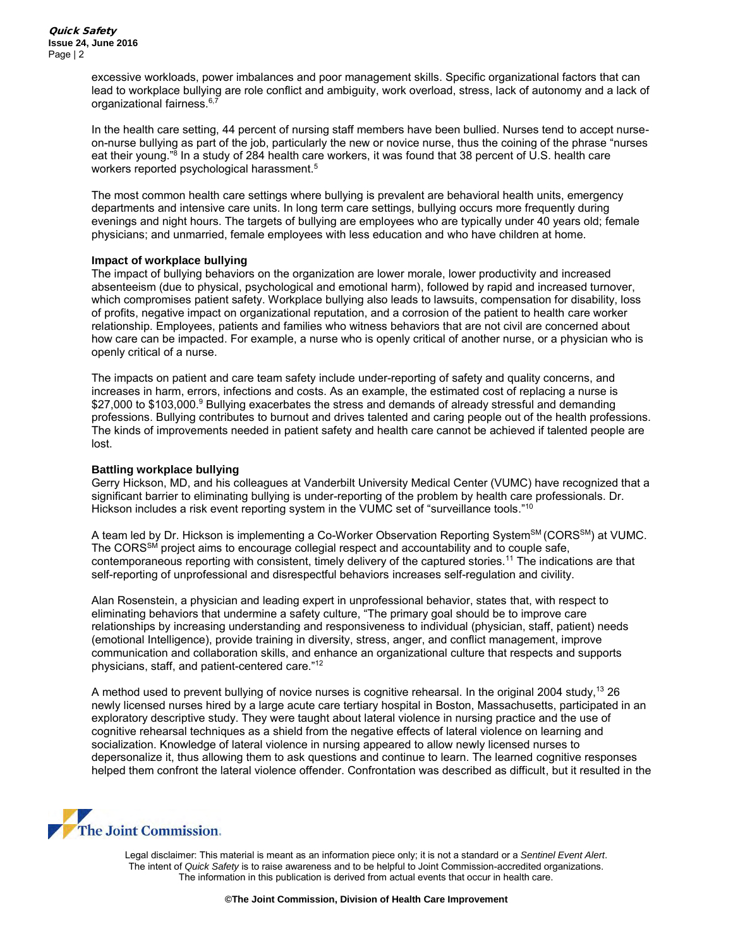excessive workloads, power imbalances and poor management skills. Specific organizational factors that can lead to workplace bullying are role conflict and ambiguity, work overload, stress, lack of autonomy and a lack of organizational fairness.<sup>6,7</sup>

In the health care setting, 44 percent of nursing staff members have been bullied. Nurses tend to accept nurseon-nurse bullying as part of the job, particularly the new or novice nurse, thus the coining of the phrase "nurses eat their young."<sup>8</sup> In a study of 284 health care workers, it was found that 38 percent of U.S. health care workers reported psychological harassment.<sup>5</sup>

The most common health care settings where bullying is prevalent are behavioral health units, emergency departments and intensive care units. In long term care settings, bullying occurs more frequently during evenings and night hours. The targets of bullying are employees who are typically under 40 years old; female physicians; and unmarried, female employees with less education and who have children at home.

# **Impact of workplace bullying**

The impact of bullying behaviors on the organization are lower morale, lower productivity and increased absenteeism (due to physical, psychological and emotional harm), followed by rapid and increased turnover, which compromises patient safety. Workplace bullying also leads to lawsuits, compensation for disability, loss of profits, negative impact on organizational reputation, and a corrosion of the patient to health care worker relationship. Employees, patients and families who witness behaviors that are not civil are concerned about how care can be impacted. For example, a nurse who is openly critical of another nurse, or a physician who is openly critical of a nurse.

The impacts on patient and care team safety include under-reporting of safety and quality concerns, and increases in harm, errors, infections and costs. As an example, the estimated cost of replacing a nurse is \$27,000 to \$103,000.<sup>9</sup> Bullying exacerbates the stress and demands of already stressful and demanding professions. Bullying contributes to burnout and drives talented and caring people out of the health professions. The kinds of improvements needed in patient safety and health care cannot be achieved if talented people are lost.

## **Battling workplace bullying**

Gerry Hickson, MD, and his colleagues at Vanderbilt University Medical Center (VUMC) have recognized that a significant barrier to eliminating bullying is under-reporting of the problem by health care professionals. Dr. Hickson includes a risk event reporting system in the VUMC set of "surveillance tools."<sup>10</sup>

A team led by Dr. Hickson is implementing a Co-Worker Observation Reporting System<sup>SM</sup> (CORS<sup>SM</sup>) at VUMC. The CORS<sup>SM</sup> project aims to encourage collegial respect and accountability and to couple safe, contemporaneous reporting with consistent, timely delivery of the captured stories.<sup>11</sup> The indications are that self-reporting of unprofessional and disrespectful behaviors increases self-regulation and civility.

Alan Rosenstein, a physician and leading expert in unprofessional behavior, states that, with respect to eliminating behaviors that undermine a safety culture, "The primary goal should be to improve care relationships by increasing understanding and responsiveness to individual (physician, staff, patient) needs (emotional Intelligence), provide training in diversity, stress, anger, and conflict management, improve communication and collaboration skills, and enhance an organizational culture that respects and supports physicians, staff, and patient-centered care."<sup>12</sup>

A method used to prevent bullying of novice nurses is cognitive rehearsal. In the original 2004 study,<sup>13</sup> 26 newly licensed nurses hired by a large acute care tertiary hospital in Boston, Massachusetts, participated in an exploratory descriptive study. They were taught about lateral violence in nursing practice and the use of cognitive rehearsal techniques as a shield from the negative effects of lateral violence on learning and socialization. Knowledge of lateral violence in nursing appeared to allow newly licensed nurses to depersonalize it, thus allowing them to ask questions and continue to learn. The learned cognitive responses helped them confront the lateral violence offender. Confrontation was described as difficult, but it resulted in the

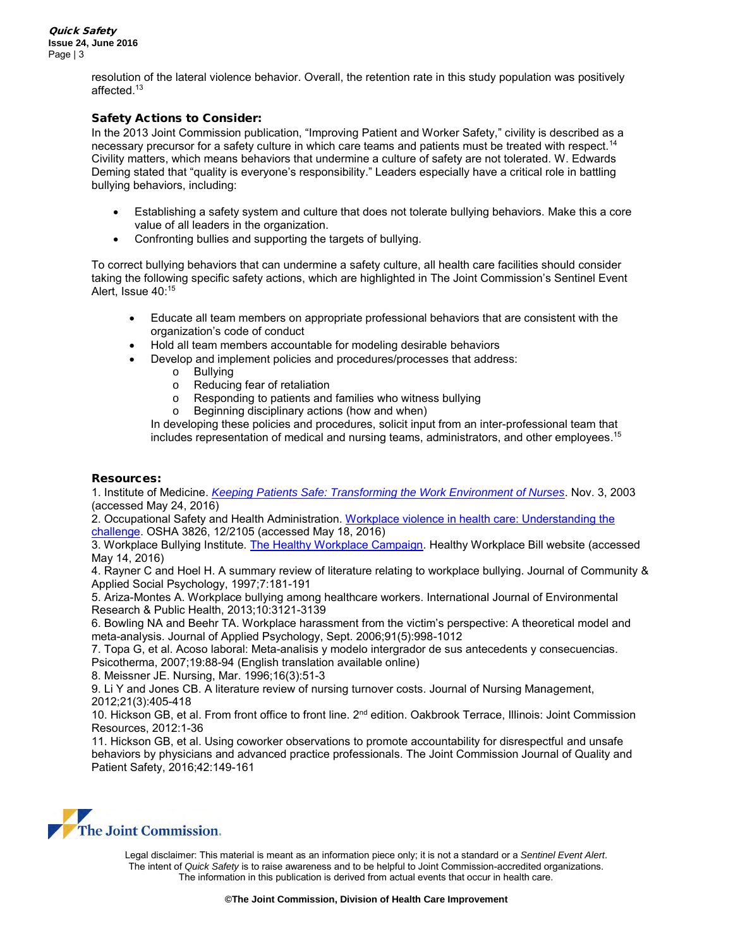resolution of the lateral violence behavior. Overall, the retention rate in this study population was positively affected.<sup>13</sup>

# Safety Actions to Consider:

In the 2013 Joint Commission publication, "Improving Patient and Worker Safety," civility is described as a necessary precursor for a safety culture in which care teams and patients must be treated with respect.<sup>14</sup> Civility matters, which means behaviors that undermine a culture of safety are not tolerated. W. Edwards Deming stated that "quality is everyone's responsibility." Leaders especially have a critical role in battling bullying behaviors, including:

- Establishing a safety system and culture that does not tolerate bullying behaviors. Make this a core value of all leaders in the organization.
- Confronting bullies and supporting the targets of bullying.

To correct bullying behaviors that can undermine a safety culture, all health care facilities should consider taking the following specific safety actions, which are highlighted in The Joint Commission's Sentinel Event Alert, Issue 40:<sup>15</sup>

- Educate all team members on appropriate professional behaviors that are consistent with the organization's code of conduct
- Hold all team members accountable for modeling desirable behaviors
- Develop and implement policies and procedures/processes that address:
	- o Bullying
	- o Reducing fear of retaliation
	- o Responding to patients and families who witness bullying
	- o Beginning disciplinary actions (how and when)

In developing these policies and procedures, solicit input from an inter-professional team that includes representation of medical and nursing teams, administrators, and other employees.<sup>15</sup>

### Resources:

1. Institute of Medicine. *[Keeping Patients Safe: Transforming the Work Environment of Nurses](http://www.nationalacademies.org/hmd/Reports/2003/Keeping-Patients-Safe-Transforming-the-Work-Environment-of-Nurses.aspx)*. Nov. 3, 2003 (accessed May 24, 2016)

2. Occupational Safety and Health Administration. [Workplace violence in health care: Understanding the](https://www.osha.gov/Publications/OSHA3826.pdf)  [challenge.](https://www.osha.gov/Publications/OSHA3826.pdf) OSHA 3826, 12/2105 (accessed May 18, 2016)

3. Workplace Bullying Institute. [The Healthy Workplace Campaign.](http://healthyworkplacebill.org/problem/) Healthy Workplace Bill website (accessed May 14, 2016)

4. Rayner C and Hoel H. A summary review of literature relating to workplace bullying. Journal of Community & Applied Social Psychology, 1997;7:181-191

5. Ariza-Montes A. Workplace bullying among healthcare workers. International Journal of Environmental Research & Public Health, 2013;10:3121-3139

6. Bowling NA and Beehr TA. Workplace harassment from the victim's perspective: A theoretical model and meta-analysis. Journal of Applied Psychology, Sept. 2006;91(5):998-1012

7. Topa G, et al. Acoso laboral: Meta-analisis y modelo intergrador de sus antecedents y consecuencias. Psicotherma, 2007;19:88-94 (English translation available online)

8. Meissner JE. Nursing, Mar. 1996;16(3):51-3

9. Li Y and Jones CB. A literature review of nursing turnover costs. Journal of Nursing Management, 2012;21(3):405-418

10. Hickson GB, et al. From front office to front line. 2<sup>nd</sup> edition. Oakbrook Terrace, Illinois: Joint Commission Resources, 2012:1-36

11. Hickson GB, et al. Using coworker observations to promote accountability for disrespectful and unsafe behaviors by physicians and advanced practice professionals. The Joint Commission Journal of Quality and Patient Safety, 2016;42:149-161